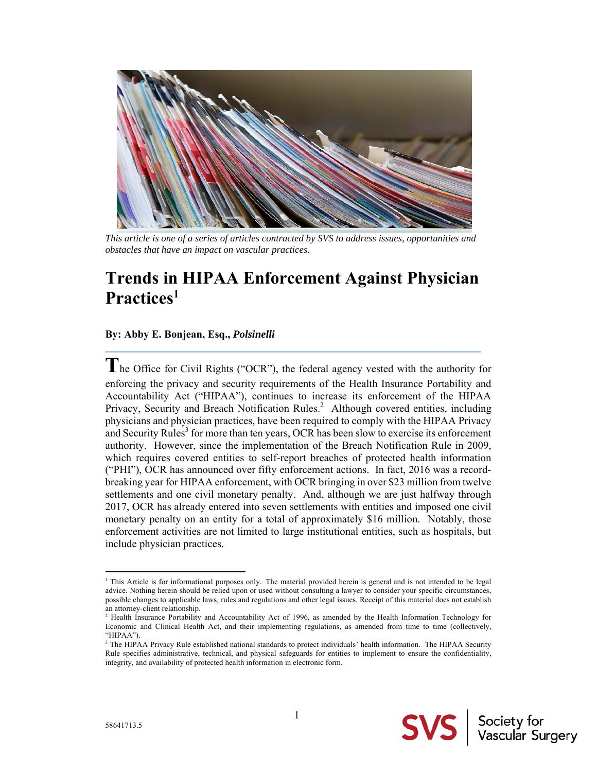

*This article is one of a series of articles contracted by SVS to address issues, opportunities and obstacles that have an impact on vascular practices.* 

# **Trends in HIPAA Enforcement Against Physician Practices1**

 $\mathcal{L}_\mathcal{L} = \mathcal{L}_\mathcal{L} = \mathcal{L}_\mathcal{L} = \mathcal{L}_\mathcal{L} = \mathcal{L}_\mathcal{L} = \mathcal{L}_\mathcal{L} = \mathcal{L}_\mathcal{L} = \mathcal{L}_\mathcal{L} = \mathcal{L}_\mathcal{L} = \mathcal{L}_\mathcal{L} = \mathcal{L}_\mathcal{L} = \mathcal{L}_\mathcal{L} = \mathcal{L}_\mathcal{L} = \mathcal{L}_\mathcal{L} = \mathcal{L}_\mathcal{L} = \mathcal{L}_\mathcal{L} = \mathcal{L}_\mathcal{L}$ 

# **By: Abby E. Bonjean, Esq.,** *Polsinelli*

**T**he Office for Civil Rights ("OCR"), the federal agency vested with the authority for enforcing the privacy and security requirements of the Health Insurance Portability and Accountability Act ("HIPAA"), continues to increase its enforcement of the HIPAA Privacy, Security and Breach Notification Rules.<sup>2</sup> Although covered entities, including physicians and physician practices, have been required to comply with the HIPAA Privacy and Security Rules<sup>3</sup> for more than ten years, OCR has been slow to exercise its enforcement authority. However, since the implementation of the Breach Notification Rule in 2009, which requires covered entities to self-report breaches of protected health information ("PHI"), OCR has announced over fifty enforcement actions. In fact, 2016 was a recordbreaking year for HIPAA enforcement, with OCR bringing in over \$23 million from twelve settlements and one civil monetary penalty. And, although we are just halfway through 2017, OCR has already entered into seven settlements with entities and imposed one civil monetary penalty on an entity for a total of approximately \$16 million. Notably, those enforcement activities are not limited to large institutional entities, such as hospitals, but include physician practices.

 $\overline{a}$ 

<sup>&</sup>lt;sup>1</sup> This Article is for informational purposes only. The material provided herein is general and is not intended to be legal advice. Nothing herein should be relied upon or used without consulting a lawyer to consider your specific circumstances, possible changes to applicable laws, rules and regulations and other legal issues. Receipt of this material does not establish an attorney-client relationship.

<sup>&</sup>lt;sup>2</sup> Health Insurance Portability and Accountability Act of 1996, as amended by the Health Information Technology for Economic and Clinical Health Act, and their implementing regulations, as amended from time to time (collectively, "HIPAA").

<sup>&</sup>lt;sup>3</sup> The HIPAA Privacy Rule established national standards to protect individuals' health information. The HIPAA Security Rule specifies administrative, technical, and physical safeguards for entities to implement to ensure the confidentiality, integrity, and availability of protected health information in electronic form.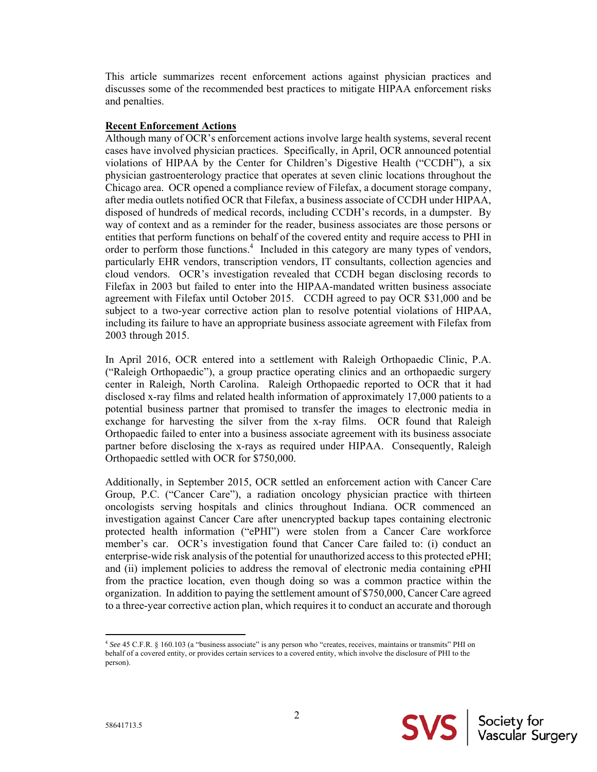This article summarizes recent enforcement actions against physician practices and discusses some of the recommended best practices to mitigate HIPAA enforcement risks and penalties.

#### **Recent Enforcement Actions**

Although many of OCR's enforcement actions involve large health systems, several recent cases have involved physician practices. Specifically, in April, OCR announced potential violations of HIPAA by the Center for Children's Digestive Health ("CCDH"), a six physician gastroenterology practice that operates at seven clinic locations throughout the Chicago area. OCR opened a compliance review of Filefax, a document storage company, after media outlets notified OCR that Filefax, a business associate of CCDH under HIPAA, disposed of hundreds of medical records, including CCDH's records, in a dumpster. By way of context and as a reminder for the reader, business associates are those persons or entities that perform functions on behalf of the covered entity and require access to PHI in order to perform those functions.<sup>4</sup> Included in this category are many types of vendors, particularly EHR vendors, transcription vendors, IT consultants, collection agencies and cloud vendors. OCR's investigation revealed that CCDH began disclosing records to Filefax in 2003 but failed to enter into the HIPAA-mandated written business associate agreement with Filefax until October 2015. CCDH agreed to pay OCR \$31,000 and be subject to a two-year corrective action plan to resolve potential violations of HIPAA, including its failure to have an appropriate business associate agreement with Filefax from 2003 through 2015.

In April 2016, OCR entered into a settlement with Raleigh Orthopaedic Clinic, P.A. ("Raleigh Orthopaedic"), a group practice operating clinics and an orthopaedic surgery center in Raleigh, North Carolina. Raleigh Orthopaedic reported to OCR that it had disclosed x-ray films and related health information of approximately 17,000 patients to a potential business partner that promised to transfer the images to electronic media in exchange for harvesting the silver from the x-ray films. OCR found that Raleigh Orthopaedic failed to enter into a business associate agreement with its business associate partner before disclosing the x-rays as required under HIPAA. Consequently, Raleigh Orthopaedic settled with OCR for \$750,000.

Additionally, in September 2015, OCR settled an enforcement action with Cancer Care Group, P.C. ("Cancer Care"), a radiation oncology physician practice with thirteen oncologists serving hospitals and clinics throughout Indiana. OCR commenced an investigation against Cancer Care after unencrypted backup tapes containing electronic protected health information ("ePHI") were stolen from a Cancer Care workforce member's car. OCR's investigation found that Cancer Care failed to: (i) conduct an enterprise-wide risk analysis of the potential for unauthorized access to this protected ePHI; and (ii) implement policies to address the removal of electronic media containing ePHI from the practice location, even though doing so was a common practice within the organization. In addition to paying the settlement amount of \$750,000, Cancer Care agreed to a three-year corrective action plan, which requires it to conduct an accurate and thorough



 $\overline{\phantom{a}}$ 

<sup>4</sup> *See* 45 C.F.R. § 160.103 (a "business associate" is any person who "creates, receives, maintains or transmits" PHI on behalf of a covered entity, or provides certain services to a covered entity, which involve the disclosure of PHI to the person).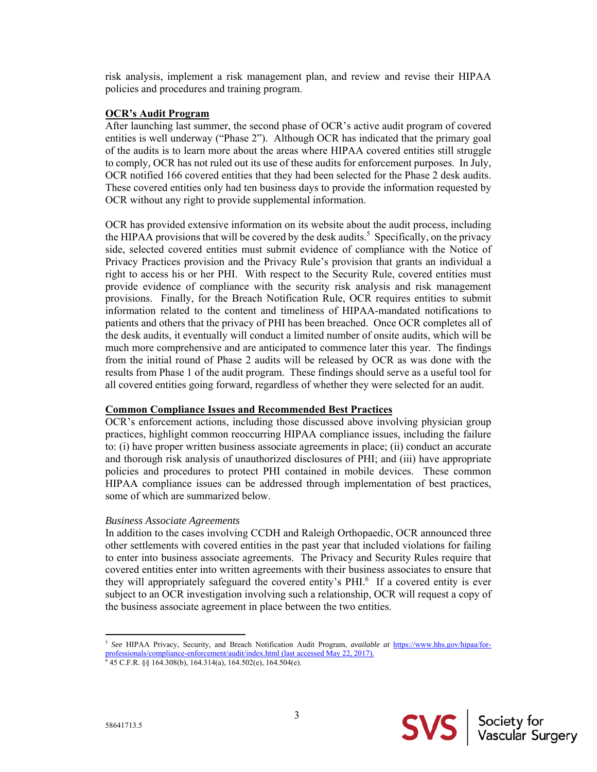risk analysis, implement a risk management plan, and review and revise their HIPAA policies and procedures and training program.

#### **OCR's Audit Program**

After launching last summer, the second phase of OCR's active audit program of covered entities is well underway ("Phase 2"). Although OCR has indicated that the primary goal of the audits is to learn more about the areas where HIPAA covered entities still struggle to comply, OCR has not ruled out its use of these audits for enforcement purposes. In July, OCR notified 166 covered entities that they had been selected for the Phase 2 desk audits. These covered entities only had ten business days to provide the information requested by OCR without any right to provide supplemental information.

OCR has provided extensive information on its website about the audit process, including the HIPAA provisions that will be covered by the desk audits.<sup>5</sup> Specifically, on the privacy side, selected covered entities must submit evidence of compliance with the Notice of Privacy Practices provision and the Privacy Rule's provision that grants an individual a right to access his or her PHI. With respect to the Security Rule, covered entities must provide evidence of compliance with the security risk analysis and risk management provisions. Finally, for the Breach Notification Rule, OCR requires entities to submit information related to the content and timeliness of HIPAA-mandated notifications to patients and others that the privacy of PHI has been breached. Once OCR completes all of the desk audits, it eventually will conduct a limited number of onsite audits, which will be much more comprehensive and are anticipated to commence later this year. The findings from the initial round of Phase 2 audits will be released by OCR as was done with the results from Phase 1 of the audit program. These findings should serve as a useful tool for all covered entities going forward, regardless of whether they were selected for an audit.

## **Common Compliance Issues and Recommended Best Practices**

OCR's enforcement actions, including those discussed above involving physician group practices, highlight common reoccurring HIPAA compliance issues, including the failure to: (i) have proper written business associate agreements in place; (ii) conduct an accurate and thorough risk analysis of unauthorized disclosures of PHI; and (iii) have appropriate policies and procedures to protect PHI contained in mobile devices. These common HIPAA compliance issues can be addressed through implementation of best practices, some of which are summarized below.

## *Business Associate Agreements*

In addition to the cases involving CCDH and Raleigh Orthopaedic, OCR announced three other settlements with covered entities in the past year that included violations for failing to enter into business associate agreements. The Privacy and Security Rules require that covered entities enter into written agreements with their business associates to ensure that they will appropriately safeguard the covered entity's PHI.<sup>6</sup> If a covered entity is ever subject to an OCR investigation involving such a relationship, OCR will request a copy of the business associate agreement in place between the two entities.

 $\overline{\phantom{a}}$ <sup>5</sup> *See* HIPAA Privacy, Security, and Breach Notification Audit Program, *available at* https://www.hhs.gov/hipaa/for-

professionals/compliance-enforcement/audit/index.html (last accessed May 22, 2017).

<sup>6</sup> 45 C.F.R. §§ 164.308(b), 164.314(a), 164.502(e), 164.504(e).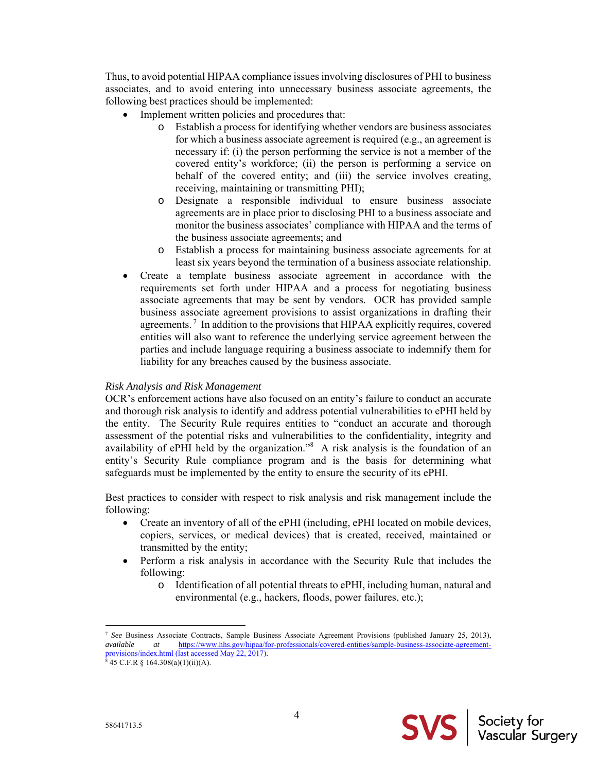Thus, to avoid potential HIPAA compliance issues involving disclosures of PHI to business associates, and to avoid entering into unnecessary business associate agreements, the following best practices should be implemented:

- Implement written policies and procedures that:
	- o Establish a process for identifying whether vendors are business associates for which a business associate agreement is required (e.g., an agreement is necessary if: (i) the person performing the service is not a member of the covered entity's workforce; (ii) the person is performing a service on behalf of the covered entity; and (iii) the service involves creating, receiving, maintaining or transmitting PHI);
	- o Designate a responsible individual to ensure business associate agreements are in place prior to disclosing PHI to a business associate and monitor the business associates' compliance with HIPAA and the terms of the business associate agreements; and
	- o Establish a process for maintaining business associate agreements for at least six years beyond the termination of a business associate relationship.
- Create a template business associate agreement in accordance with the requirements set forth under HIPAA and a process for negotiating business associate agreements that may be sent by vendors. OCR has provided sample business associate agreement provisions to assist organizations in drafting their agreements.<sup>7</sup> In addition to the provisions that HIPAA explicitly requires, covered entities will also want to reference the underlying service agreement between the parties and include language requiring a business associate to indemnify them for liability for any breaches caused by the business associate.

## *Risk Analysis and Risk Management*

OCR's enforcement actions have also focused on an entity's failure to conduct an accurate and thorough risk analysis to identify and address potential vulnerabilities to ePHI held by the entity. The Security Rule requires entities to "conduct an accurate and thorough assessment of the potential risks and vulnerabilities to the confidentiality, integrity and availability of ePHI held by the organization."<sup>8</sup> A risk analysis is the foundation of an entity's Security Rule compliance program and is the basis for determining what safeguards must be implemented by the entity to ensure the security of its ePHI.

Best practices to consider with respect to risk analysis and risk management include the following:

- Create an inventory of all of the ePHI (including, ePHI located on mobile devices, copiers, services, or medical devices) that is created, received, maintained or transmitted by the entity;
- Perform a risk analysis in accordance with the Security Rule that includes the following:
	- o Identification of all potential threats to ePHI, including human, natural and environmental (e.g., hackers, floods, power failures, etc.);

**SVS** | Society for

 $\overline{\phantom{a}}$ 

<sup>7</sup> *See* Business Associate Contracts, Sample Business Associate Agreement Provisions (published January 25, 2013), *available at* https://www.hhs.gov/hipaa/for-professionals/covered-entities/sample-business-associate-agreementprovisions/index.html (last accessed May 22, 2017).

 $\frac{1}{8}$  45 C.F.R § 164.308(a)(1)(ii)(A).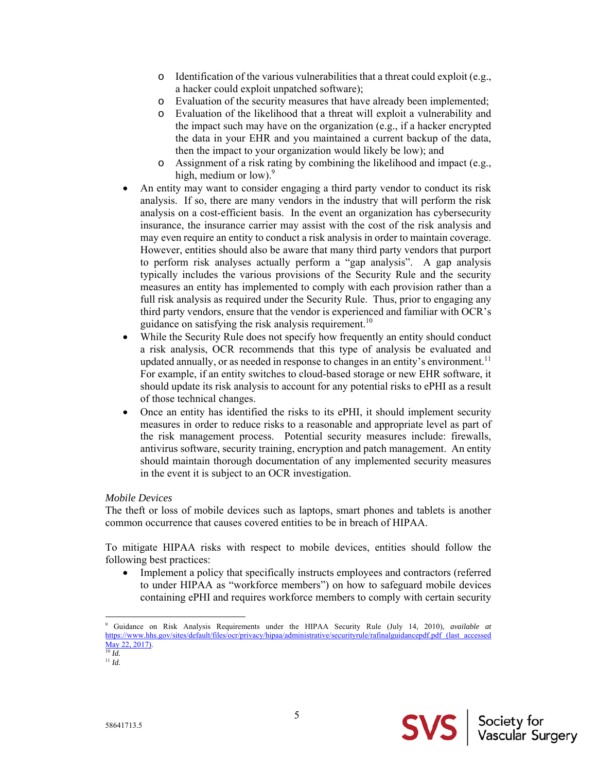- o Identification of the various vulnerabilities that a threat could exploit (e.g., a hacker could exploit unpatched software);
- o Evaluation of the security measures that have already been implemented;
- o Evaluation of the likelihood that a threat will exploit a vulnerability and the impact such may have on the organization (e.g., if a hacker encrypted the data in your EHR and you maintained a current backup of the data, then the impact to your organization would likely be low); and
- o Assignment of a risk rating by combining the likelihood and impact (e.g., high, medium or low). $9$
- An entity may want to consider engaging a third party vendor to conduct its risk analysis. If so, there are many vendors in the industry that will perform the risk analysis on a cost-efficient basis. In the event an organization has cybersecurity insurance, the insurance carrier may assist with the cost of the risk analysis and may even require an entity to conduct a risk analysis in order to maintain coverage. However, entities should also be aware that many third party vendors that purport to perform risk analyses actually perform a "gap analysis". A gap analysis typically includes the various provisions of the Security Rule and the security measures an entity has implemented to comply with each provision rather than a full risk analysis as required under the Security Rule. Thus, prior to engaging any third party vendors, ensure that the vendor is experienced and familiar with OCR's guidance on satisfying the risk analysis requirement.<sup>10</sup>
- While the Security Rule does not specify how frequently an entity should conduct a risk analysis, OCR recommends that this type of analysis be evaluated and updated annually, or as needed in response to changes in an entity's environment.<sup>11</sup> For example, if an entity switches to cloud-based storage or new EHR software, it should update its risk analysis to account for any potential risks to ePHI as a result of those technical changes.
- Once an entity has identified the risks to its ePHI, it should implement security measures in order to reduce risks to a reasonable and appropriate level as part of the risk management process. Potential security measures include: firewalls, antivirus software, security training, encryption and patch management. An entity should maintain thorough documentation of any implemented security measures in the event it is subject to an OCR investigation.

# *Mobile Devices*

The theft or loss of mobile devices such as laptops, smart phones and tablets is another common occurrence that causes covered entities to be in breach of HIPAA.

To mitigate HIPAA risks with respect to mobile devices, entities should follow the following best practices:

• Implement a policy that specifically instructs employees and contractors (referred to under HIPAA as "workforce members") on how to safeguard mobile devices containing ePHI and requires workforce members to comply with certain security

 $\overline{\phantom{a}}$ 

<sup>9</sup> Guidance on Risk Analysis Requirements under the HIPAA Security Rule (July 14, 2010), *available at* https://www.hhs.gov/sites/default/files/ocr/privacy/hipaa/administrative/securityrule/rafinalguidancepdf.pdf (last accessed May 22, 2017).  $\frac{1}{10}$  *Id.* 

<sup>11</sup> *Id.*